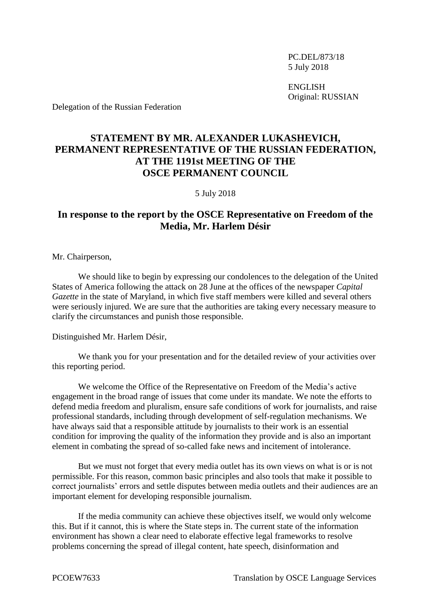PC.DEL/873/18 5 July 2018

ENGLISH Original: RUSSIAN

Delegation of the Russian Federation

## **STATEMENT BY MR. ALEXANDER LUKASHEVICH, PERMANENT REPRESENTATIVE OF THE RUSSIAN FEDERATION, AT THE 1191st MEETING OF THE OSCE PERMANENT COUNCIL**

5 July 2018

## **In response to the report by the OSCE Representative on Freedom of the Media, Mr. Harlem Désir**

Mr. Chairperson,

We should like to begin by expressing our condolences to the delegation of the United States of America following the attack on 28 June at the offices of the newspaper *Capital Gazette* in the state of Maryland, in which five staff members were killed and several others were seriously injured. We are sure that the authorities are taking every necessary measure to clarify the circumstances and punish those responsible.

## Distinguished Mr. Harlem Désir,

We thank you for your presentation and for the detailed review of your activities over this reporting period.

We welcome the Office of the Representative on Freedom of the Media's active engagement in the broad range of issues that come under its mandate. We note the efforts to defend media freedom and pluralism, ensure safe conditions of work for journalists, and raise professional standards, including through development of self-regulation mechanisms. We have always said that a responsible attitude by journalists to their work is an essential condition for improving the quality of the information they provide and is also an important element in combating the spread of so-called fake news and incitement of intolerance.

But we must not forget that every media outlet has its own views on what is or is not permissible. For this reason, common basic principles and also tools that make it possible to correct journalists' errors and settle disputes between media outlets and their audiences are an important element for developing responsible journalism.

If the media community can achieve these objectives itself, we would only welcome this. But if it cannot, this is where the State steps in. The current state of the information environment has shown a clear need to elaborate effective legal frameworks to resolve problems concerning the spread of illegal content, hate speech, disinformation and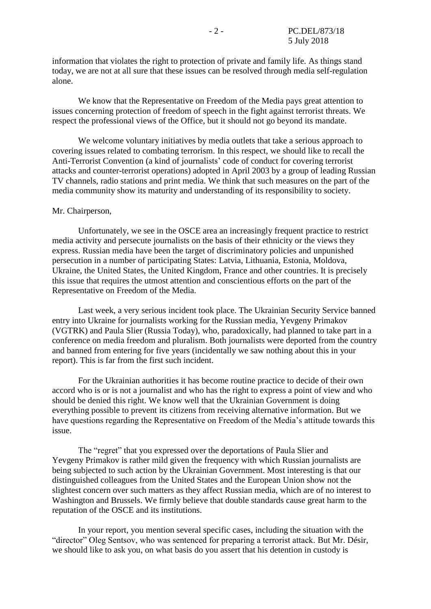information that violates the right to protection of private and family life. As things stand today, we are not at all sure that these issues can be resolved through media self-regulation alone.

We know that the Representative on Freedom of the Media pays great attention to issues concerning protection of freedom of speech in the fight against terrorist threats. We respect the professional views of the Office, but it should not go beyond its mandate.

We welcome voluntary initiatives by media outlets that take a serious approach to covering issues related to combating terrorism. In this respect, we should like to recall the Anti-Terrorist Convention (a kind of journalists' code of conduct for covering terrorist attacks and counter-terrorist operations) adopted in April 2003 by a group of leading Russian TV channels, radio stations and print media. We think that such measures on the part of the media community show its maturity and understanding of its responsibility to society.

## Mr. Chairperson,

Unfortunately, we see in the OSCE area an increasingly frequent practice to restrict media activity and persecute journalists on the basis of their ethnicity or the views they express. Russian media have been the target of discriminatory policies and unpunished persecution in a number of participating States: Latvia, Lithuania, Estonia, Moldova, Ukraine, the United States, the United Kingdom, France and other countries. It is precisely this issue that requires the utmost attention and conscientious efforts on the part of the Representative on Freedom of the Media.

Last week, a very serious incident took place. The Ukrainian Security Service banned entry into Ukraine for journalists working for the Russian media, Yevgeny Primakov (VGTRK) and Paula Slier (Russia Today), who, paradoxically, had planned to take part in a conference on media freedom and pluralism. Both journalists were deported from the country and banned from entering for five years (incidentally we saw nothing about this in your report). This is far from the first such incident.

For the Ukrainian authorities it has become routine practice to decide of their own accord who is or is not a journalist and who has the right to express a point of view and who should be denied this right. We know well that the Ukrainian Government is doing everything possible to prevent its citizens from receiving alternative information. But we have questions regarding the Representative on Freedom of the Media's attitude towards this issue.

The "regret" that you expressed over the deportations of Paula Slier and Yevgeny Primakov is rather mild given the frequency with which Russian journalists are being subjected to such action by the Ukrainian Government. Most interesting is that our distinguished colleagues from the United States and the European Union show not the slightest concern over such matters as they affect Russian media, which are of no interest to Washington and Brussels. We firmly believe that double standards cause great harm to the reputation of the OSCE and its institutions.

In your report, you mention several specific cases, including the situation with the "director" Oleg Sentsov, who was sentenced for preparing a terrorist attack. But Mr. Désir, we should like to ask you, on what basis do you assert that his detention in custody is